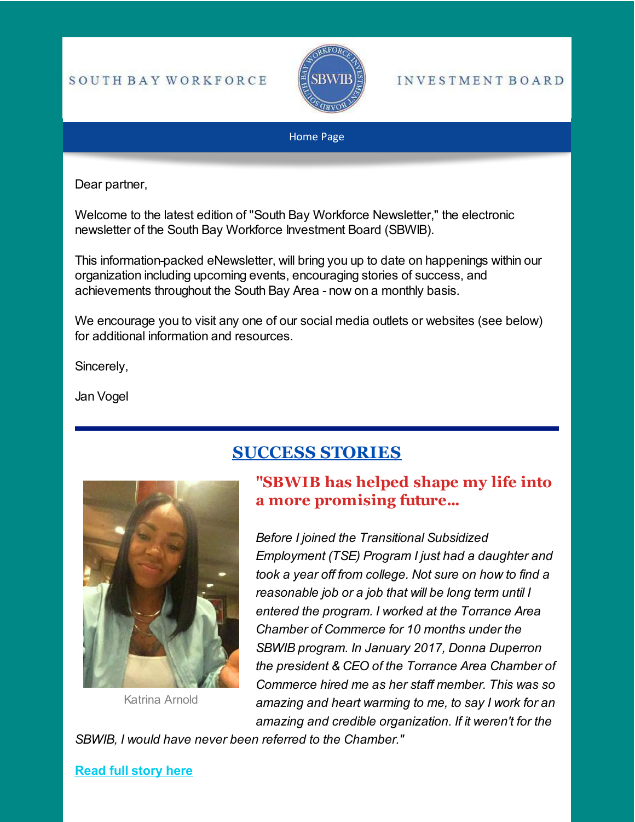#### SOUTH BAY WORKFORCE



#### INVESTMENT BOARD

#### [Home Page](https://www.sbwib.org/)

Dear partner,

Welcome to the latest edition of "South Bay Workforce Newsletter," the electronic newsletter of the South Bay Workforce Investment Board (SBWIB).

This information-packed eNewsletter, will bring you up to date on happenings within our organization including upcoming events, encouraging stories of success, and achievements throughout the South Bay Area - now on a monthly basis.

We encourage you to visit any one of our social media outlets or websites (see below) for additional information and resources.

Sincerely,

Jan Vogel

# **SUCCESS STORIES**



Katrina Arnold

### **"SBWIB has helped shape my life into a more promising future...**

*Before I joined the Transitional Subsidized Employment (TSE) Program I just had a daughter and took a year off from college. Not sure on how to find a reasonable job or a job that will be long term until I entered the program. I worked at the Torrance Area Chamber of Commerce for 10 months under the SBWIB program. In January 2017, Donna Duperron the president & CEO of the Torrance Area Chamber of Commerce hired me as her staff member. This was so amazing and heart warming to me, to say I work for an amazing and credible organization. If it weren't for the*

*SBWIB, I would have never been referred to the Chamber."*

#### **[Read full story here](https://www.sbwib.org/2017-individual-success-stories)**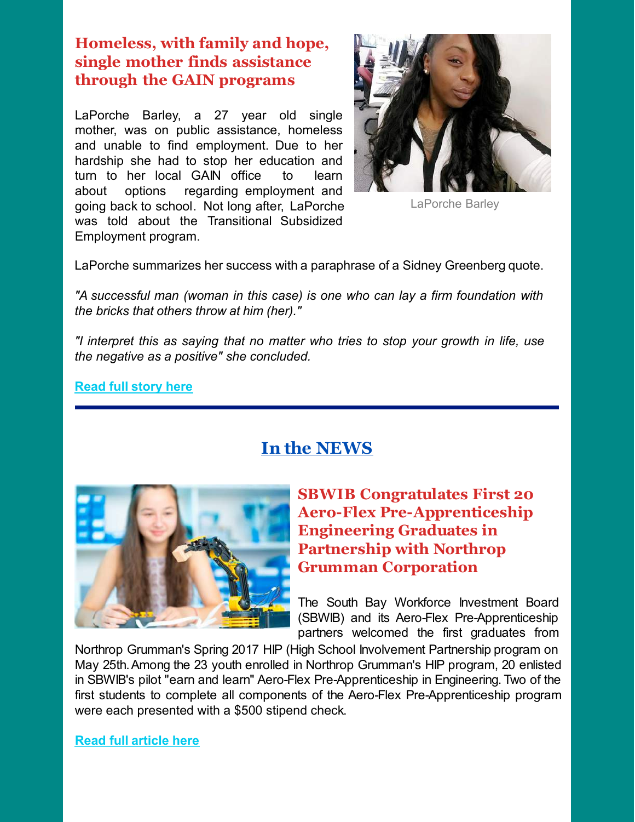# **Homeless, with family and hope, single mother finds assistance through the GAIN programs**

LaPorche Barley, a 27 year old single mother, was on public assistance, homeless and unable to find employment. Due to her hardship she had to stop her education and turn to her local GAIN office to learn about options regarding employment and going back to school. Not long after, LaPorche was told about the Transitional Subsidized Employment program.



LaPorche Barley

LaPorche summarizes her success with a paraphrase of a Sidney Greenberg quote.

*"A successful man (woman in this case) is one who can lay a firm foundation with the bricks that others throw at him (her)."*

*"I interpret this as saying that no matter who tries to stop your growth in life, use the negative as a positive" she concluded.*

**[Read full story here](https://www.sbwib.org/2017-individual-success-stories)**

# **In the NEWS**



**SBWIB Congratulates First 20 Aero-Flex Pre-Apprenticeship Engineering Graduates in Partnership with Northrop Grumman Corporation**

The South Bay Workforce Investment Board (SBWIB) and its Aero-Flex Pre-Apprenticeship partners welcomed the first graduates from

Northrop Grumman's Spring 2017 HIP (High School Involvement Partnership program on May 25th. Among the 23 youth enrolled in Northrop Grumman's HIP program, 20 enlisted in SBWIB's pilot "earn and learn" Aero-Flex Pre-Apprenticeship in Engineering. Two of the first students to complete all components of the Aero-Flex Pre-Apprenticeship program were each presented with a \$500 stipend check.

**[Read full article here](http://files.constantcontact.com/1c123a6f401/8a80654a-bbf8-4cc1-844f-5dc359fcb861.pdf)**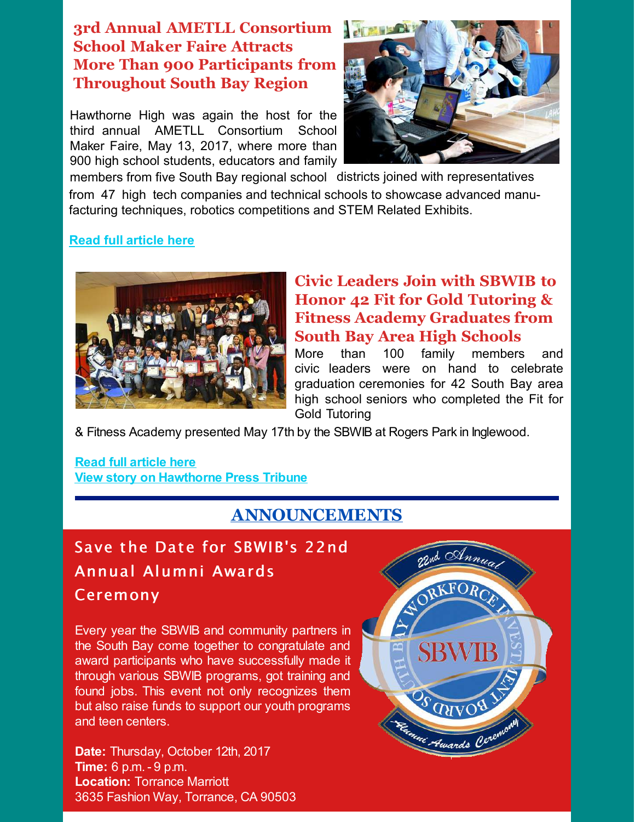### **3rd Annual AMETLL Consortium School Maker Faire Attracts More Than 900 Participants from Throughout South Bay Region**

Hawthorne High was again the host for the third annual AMETLL Consortium School Maker Faire, May 13, 2017, where more than 900 high school students, educators and family



members from five South Bay regional school districts joined with representatives from 47 high tech companies and technical schools to showcase advanced manufacturing techniques, robotics competitions and STEM Related Exhibits.

#### **[Read full article here](https://docs.wixstatic.com/ugd/b8c0dc_8c6137b8e1e64024860469efcf254533.pdf)**



## **Civic Leaders Join with SBWIB to Honor 42 Fit for Gold Tutoring & Fitness Academy Graduates from South Bay Area High Schools**

More than 100 family members and civic leaders were on hand to celebrate graduation ceremonies for 42 South Bay area high school seniors who completed the Fit for Gold Tutoring

& Fitness Academy presented May 17th by the SBWIB at Rogers Park in Inglewood.

#### **[Read full article here](https://docs.wixstatic.com/ugd/b8c0dc_5735f950d8ae4277b7a6fe35620bb143.pdf) [View story on Hawthorne Press Tribune](https://docs.wixstatic.com/ugd/b8c0dc_b0dd626e48e54a1ab559bc9296d940fb.pdf)**

# **ANNOUNCEMENTS**

# Save the Date for SBWIB's 22nd Annual Alumni Awards Ceremony

Every year the SBWIB and community partners in the South Bay come together to congratulate and award participants who have successfully made it through various SBWIB programs, got training and found jobs. This event not only recognizes them but also raise funds to support our youth programs and teen centers.

**Date:** Thursday, October 12th, 2017 **Time:** 6 p.m. - 9 p.m. **Location:** Torrance Marriott 3635 Fashion Way, Torrance, CA 90503

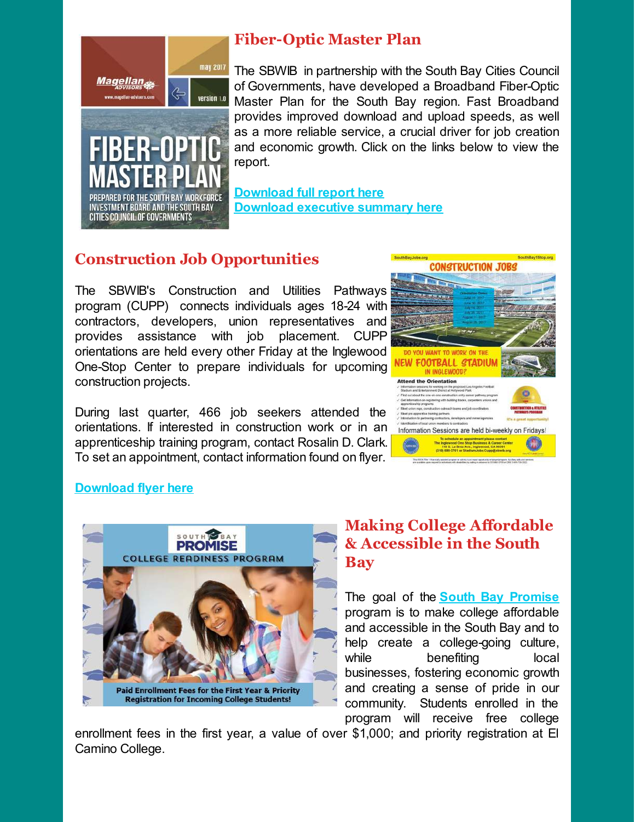

# **Fiber-Optic Master Plan**

The SBWIB in partnership with the South Bay Cities Council of Governments, have developed a Broadband Fiber-Optic Master Plan for the South Bay region. Fast Broadband provides improved download and upload speeds, as well as a more reliable service, a crucial driver for job creation and economic growth. Click on the links below to view the report.

**[Download full report here](https://docs.wixstatic.com/ugd/b8c0dc_902ad13479b947b79322dbd8bffcf411.pdf) [Download executive summary here](https://docs.wixstatic.com/ugd/b8c0dc_c5f7af9fd5ce49698a9dee2e0e3aace1.pdf)**

### **Construction Job Opportunities**

The SBWIB's Construction and Utilities Pathways program (CUPP) connects individuals ages 18-24 with contractors, developers, union representatives and provides assistance with job placement. CUPP orientations are held every other Friday at the Inglewood One-Stop Center to prepare individuals for upcoming construction projects.

During last quarter, 466 job seekers attended the orientations. If interested in construction work or in an apprenticeship training program, contact Rosalin D. Clark. To set an appointment, contact information found on flyer.



#### **[Download flyer here](https://docs.wixstatic.com/ugd/b8c0dc_38f484f2c2e647b2aca5212f744e5cf4.pdf)**



## **Making College Affordable & Accessible in the South Bay**

The goal of the **[South Bay Promise](http://southbaypromise.org/)** program is to make college affordable and accessible in the South Bay and to help create a college-going culture, while benefiting local businesses, fostering economic growth and creating a sense of pride in our community. Students enrolled in the program will receive free college

enrollment fees in the first year, a value of over \$1,000; and priority registration at El Camino College.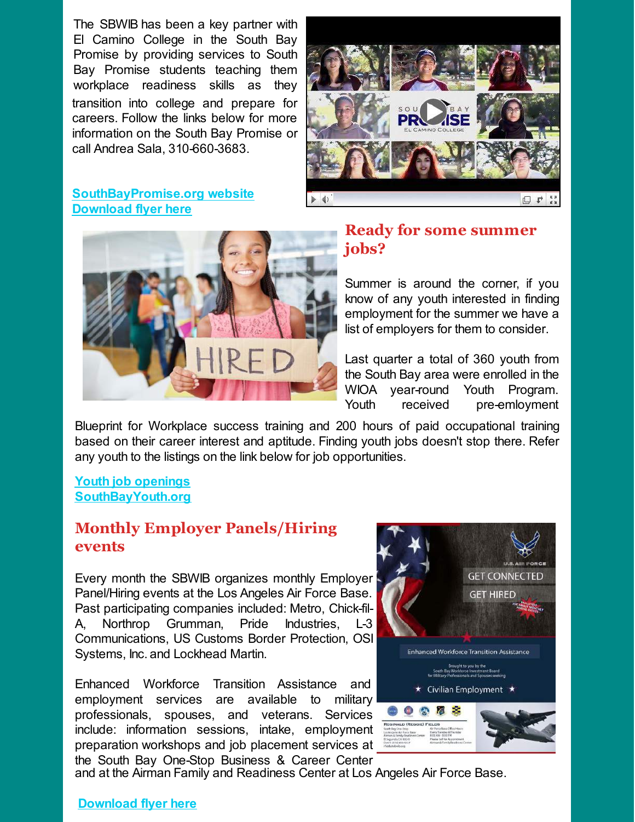transition into college and prepare for careers. Follow the links below for more information on the South Bay Promise or call Andrea Sala, 310-660-3683. The SBWIB has been a key partner with El Camino College in the South Bay Promise by providing services to South Bay Promise students teaching them workplace readiness skills as they

#### **[SouthBayPromise.org website](http://southbaypromise.org/)  [Download flyer here](https://docs.wixstatic.com/ugd/b8c0dc_8aab3bd119e64c9f91c083132554ae99.pdf)**





#### **Ready for some summer jobs?**

Summer is around the corner, if you know of any youth interested in finding employment for the summer we have a list of employers for them to consider.

Last quarter a total of 360 youth from the South Bay area were enrolled in the WIOA year-round Youth Program. Youth received pre-emloyment

Blueprint for Workplace success training and 200 hours of paid occupational training based on their career interest and aptitude. Finding youth jobs doesn't stop there. Refer any youth to the listings on the link below for job opportunities.

#### **[Youth job openings](http://southbayyouth.org/wp-content/uploads/2017/06/Youth-Job-Openings-6.1.17.pdf) [SouthBayYouth.org](http://southbayyouth.org/)**

### **Monthly Employer Panels/Hiring events**

Every month the SBWIB organizes monthly Employer Panel/Hiring events at the Los Angeles Air Force Base. Past participating companies included: Metro, Chick-fil-A, Northrop Grumman, Pride Industries, L-3 Communications, US Customs Border Protection, OSI Systems, Inc. and Lockhead Martin.

Enhanced Workforce Transition Assistance and employment services are available to military professionals, spouses, and veterans. Services include: information sessions, intake, employment preparation workshops and job placement services at the South Bay One-Stop Business & Career Center



and at the Airman Family and Readiness Center at Los Angeles Air Force Base.

#### **[Download flyer here](https://docs.wixstatic.com/ugd/b8c0dc_1ee9e0436eb8454ba36847ed7995b845.pdf)**